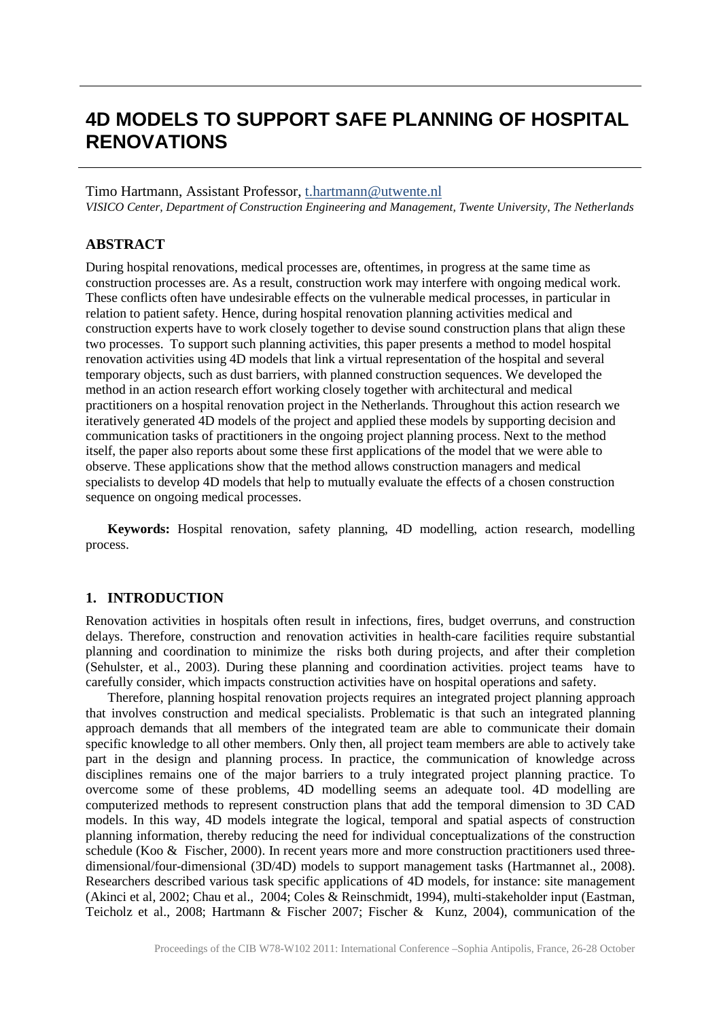# **4D MODELS TO SUPPORT SAFE PLANNING OF HOSPITAL RENOVATIONS**

#### Timo Hartmann, Assistant Professor, [t.hartmann@utwente.nl](mailto:t.hartmann@utwente.nl)

*VISICO Center, Department of Construction Engineering and Management, Twente University, The Netherlands*

#### **ABSTRACT**

During hospital renovations, medical processes are, oftentimes, in progress at the same time as construction processes are. As a result, construction work may interfere with ongoing medical work. These conflicts often have undesirable effects on the vulnerable medical processes, in particular in relation to patient safety. Hence, during hospital renovation planning activities medical and construction experts have to work closely together to devise sound construction plans that align these two processes. To support such planning activities, this paper presents a method to model hospital renovation activities using 4D models that link a virtual representation of the hospital and several temporary objects, such as dust barriers, with planned construction sequences. We developed the method in an action research effort working closely together with architectural and medical practitioners on a hospital renovation project in the Netherlands. Throughout this action research we iteratively generated 4D models of the project and applied these models by supporting decision and communication tasks of practitioners in the ongoing project planning process. Next to the method itself, the paper also reports about some these first applications of the model that we were able to observe. These applications show that the method allows construction managers and medical specialists to develop 4D models that help to mutually evaluate the effects of a chosen construction sequence on ongoing medical processes.

**Keywords:** Hospital renovation, safety planning, 4D modelling, action research, modelling process.

#### **1. INTRODUCTION**

Renovation activities in hospitals often result in infections, fires, budget overruns, and construction delays. Therefore, construction and renovation activities in health-care facilities require substantial planning and coordination to minimize the risks both during projects, and after their completion (Sehulster, et al., 2003). During these planning and coordination activities. project teams have to carefully consider, which impacts construction activities have on hospital operations and safety.

Therefore, planning hospital renovation projects requires an integrated project planning approach that involves construction and medical specialists. Problematic is that such an integrated planning approach demands that all members of the integrated team are able to communicate their domain specific knowledge to all other members. Only then, all project team members are able to actively take part in the design and planning process. In practice, the communication of knowledge across disciplines remains one of the major barriers to a truly integrated project planning practice. To overcome some of these problems, 4D modelling seems an adequate tool. 4D modelling are computerized methods to represent construction plans that add the temporal dimension to 3D CAD models. In this way, 4D models integrate the logical, temporal and spatial aspects of construction planning information, thereby reducing the need for individual conceptualizations of the construction schedule (Koo & Fischer, 2000). In recent years more and more construction practitioners used threedimensional/four-dimensional (3D/4D) models to support management tasks (Hartmannet al., 2008). Researchers described various task specific applications of 4D models, for instance: site management (Akinci et al, 2002; Chau et al., 2004; Coles & Reinschmidt, 1994), multi-stakeholder input (Eastman, Teicholz et al., 2008; Hartmann & Fischer 2007; Fischer & Kunz, 2004), communication of the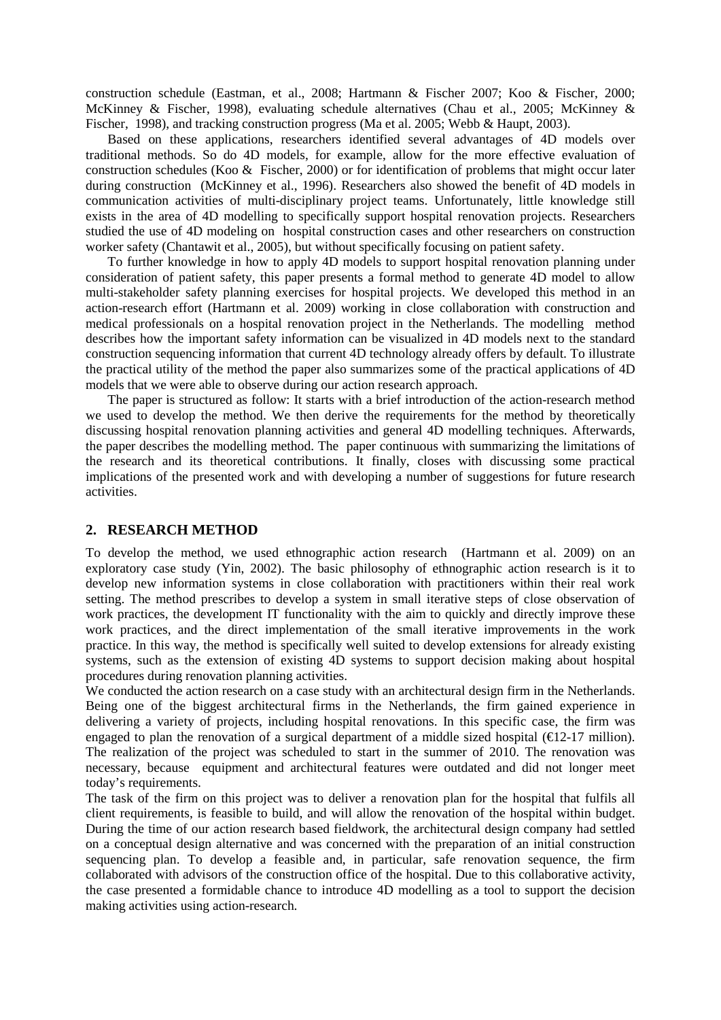construction schedule (Eastman, et al., 2008; Hartmann & Fischer 2007; Koo & Fischer, 2000; McKinney & Fischer, 1998), evaluating schedule alternatives (Chau et al., 2005; McKinney & Fischer, 1998), and tracking construction progress (Ma et al. 2005; Webb & Haupt, 2003).

Based on these applications, researchers identified several advantages of 4D models over traditional methods. So do 4D models, for example, allow for the more effective evaluation of construction schedules (Koo & Fischer, 2000) or for identification of problems that might occur later during construction (McKinney et al., 1996). Researchers also showed the benefit of 4D models in communication activities of multi-disciplinary project teams. Unfortunately, little knowledge still exists in the area of 4D modelling to specifically support hospital renovation projects. Researchers studied the use of 4D modeling on hospital construction cases and other researchers on construction worker safety (Chantawit et al., 2005), but without specifically focusing on patient safety.

To further knowledge in how to apply 4D models to support hospital renovation planning under consideration of patient safety, this paper presents a formal method to generate 4D model to allow multi-stakeholder safety planning exercises for hospital projects. We developed this method in an action-research effort (Hartmann et al. 2009) working in close collaboration with construction and medical professionals on a hospital renovation project in the Netherlands. The modelling method describes how the important safety information can be visualized in 4D models next to the standard construction sequencing information that current 4D technology already offers by default. To illustrate the practical utility of the method the paper also summarizes some of the practical applications of 4D models that we were able to observe during our action research approach.

The paper is structured as follow: It starts with a brief introduction of the action-research method we used to develop the method. We then derive the requirements for the method by theoretically discussing hospital renovation planning activities and general 4D modelling techniques. Afterwards, the paper describes the modelling method. The paper continuous with summarizing the limitations of the research and its theoretical contributions. It finally, closes with discussing some practical implications of the presented work and with developing a number of suggestions for future research activities.

## **2. RESEARCH METHOD**

To develop the method, we used ethnographic action research (Hartmann et al. 2009) on an exploratory case study (Yin, 2002). The basic philosophy of ethnographic action research is it to develop new information systems in close collaboration with practitioners within their real work setting. The method prescribes to develop a system in small iterative steps of close observation of work practices, the development IT functionality with the aim to quickly and directly improve these work practices, and the direct implementation of the small iterative improvements in the work practice. In this way, the method is specifically well suited to develop extensions for already existing systems, such as the extension of existing 4D systems to support decision making about hospital procedures during renovation planning activities.

We conducted the action research on a case study with an architectural design firm in the Netherlands. Being one of the biggest architectural firms in the Netherlands, the firm gained experience in delivering a variety of projects, including hospital renovations. In this specific case, the firm was engaged to plan the renovation of a surgical department of a middle sized hospital ( $\epsilon$ 12-17 million). The realization of the project was scheduled to start in the summer of 2010. The renovation was necessary, because equipment and architectural features were outdated and did not longer meet today's requirements.

The task of the firm on this project was to deliver a renovation plan for the hospital that fulfils all client requirements, is feasible to build, and will allow the renovation of the hospital within budget. During the time of our action research based fieldwork, the architectural design company had settled on a conceptual design alternative and was concerned with the preparation of an initial construction sequencing plan. To develop a feasible and, in particular, safe renovation sequence, the firm collaborated with advisors of the construction office of the hospital. Due to this collaborative activity, the case presented a formidable chance to introduce 4D modelling as a tool to support the decision making activities using action-research.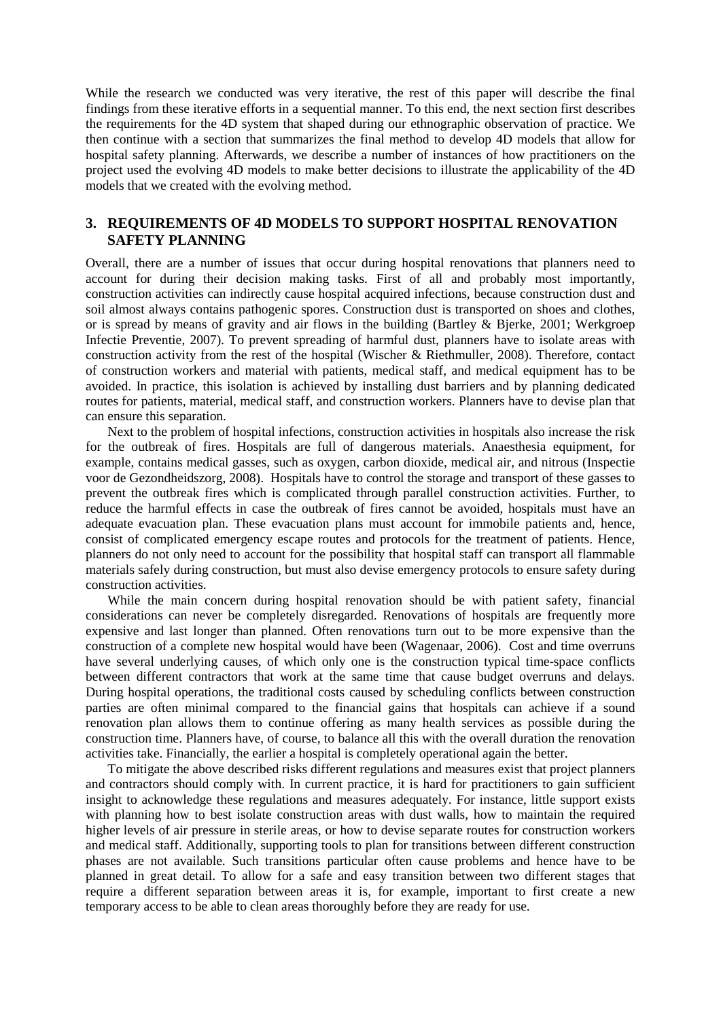While the research we conducted was very iterative, the rest of this paper will describe the final findings from these iterative efforts in a sequential manner. To this end, the next section first describes the requirements for the 4D system that shaped during our ethnographic observation of practice. We then continue with a section that summarizes the final method to develop 4D models that allow for hospital safety planning. Afterwards, we describe a number of instances of how practitioners on the project used the evolving 4D models to make better decisions to illustrate the applicability of the 4D models that we created with the evolving method.

## **3. REQUIREMENTS OF 4D MODELS TO SUPPORT HOSPITAL RENOVATION SAFETY PLANNING**

Overall, there are a number of issues that occur during hospital renovations that planners need to account for during their decision making tasks. First of all and probably most importantly, construction activities can indirectly cause hospital acquired infections, because construction dust and soil almost always contains pathogenic spores. Construction dust is transported on shoes and clothes, or is spread by means of gravity and air flows in the building (Bartley & Bjerke, 2001; Werkgroep Infectie Preventie, 2007). To prevent spreading of harmful dust, planners have to isolate areas with construction activity from the rest of the hospital (Wischer & Riethmuller, 2008). Therefore, contact of construction workers and material with patients, medical staff, and medical equipment has to be avoided. In practice, this isolation is achieved by installing dust barriers and by planning dedicated routes for patients, material, medical staff, and construction workers. Planners have to devise plan that can ensure this separation.

Next to the problem of hospital infections, construction activities in hospitals also increase the risk for the outbreak of fires. Hospitals are full of dangerous materials. Anaesthesia equipment, for example, contains medical gasses, such as oxygen, carbon dioxide, medical air, and nitrous (Inspectie voor de Gezondheidszorg, 2008). Hospitals have to control the storage and transport of these gasses to prevent the outbreak fires which is complicated through parallel construction activities. Further, to reduce the harmful effects in case the outbreak of fires cannot be avoided, hospitals must have an adequate evacuation plan. These evacuation plans must account for immobile patients and, hence, consist of complicated emergency escape routes and protocols for the treatment of patients. Hence, planners do not only need to account for the possibility that hospital staff can transport all flammable materials safely during construction, but must also devise emergency protocols to ensure safety during construction activities.

While the main concern during hospital renovation should be with patient safety, financial considerations can never be completely disregarded. Renovations of hospitals are frequently more expensive and last longer than planned. Often renovations turn out to be more expensive than the construction of a complete new hospital would have been (Wagenaar, 2006). Cost and time overruns have several underlying causes, of which only one is the construction typical time-space conflicts between different contractors that work at the same time that cause budget overruns and delays. During hospital operations, the traditional costs caused by scheduling conflicts between construction parties are often minimal compared to the financial gains that hospitals can achieve if a sound renovation plan allows them to continue offering as many health services as possible during the construction time. Planners have, of course, to balance all this with the overall duration the renovation activities take. Financially, the earlier a hospital is completely operational again the better.

To mitigate the above described risks different regulations and measures exist that project planners and contractors should comply with. In current practice, it is hard for practitioners to gain sufficient insight to acknowledge these regulations and measures adequately. For instance, little support exists with planning how to best isolate construction areas with dust walls, how to maintain the required higher levels of air pressure in sterile areas, or how to devise separate routes for construction workers and medical staff. Additionally, supporting tools to plan for transitions between different construction phases are not available. Such transitions particular often cause problems and hence have to be planned in great detail. To allow for a safe and easy transition between two different stages that require a different separation between areas it is, for example, important to first create a new temporary access to be able to clean areas thoroughly before they are ready for use.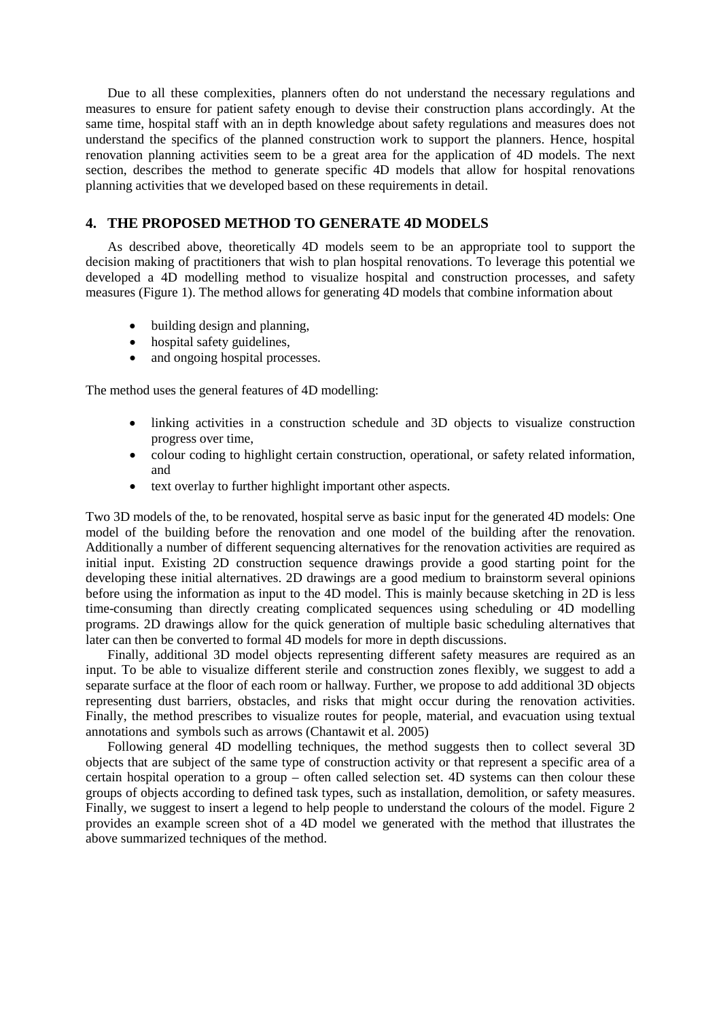Due to all these complexities, planners often do not understand the necessary regulations and measures to ensure for patient safety enough to devise their construction plans accordingly. At the same time, hospital staff with an in depth knowledge about safety regulations and measures does not understand the specifics of the planned construction work to support the planners. Hence, hospital renovation planning activities seem to be a great area for the application of 4D models. The next section, describes the method to generate specific 4D models that allow for hospital renovations planning activities that we developed based on these requirements in detail.

#### **4. THE PROPOSED METHOD TO GENERATE 4D MODELS**

As described above, theoretically 4D models seem to be an appropriate tool to support the decision making of practitioners that wish to plan hospital renovations. To leverage this potential we developed a 4D modelling method to visualize hospital and construction processes, and safety measures (Figure 1). The method allows for generating 4D models that combine information about

- building design and planning,
- hospital safety guidelines,
- and ongoing hospital processes.

The method uses the general features of 4D modelling:

- linking activities in a construction schedule and 3D objects to visualize construction progress over time,
- colour coding to highlight certain construction, operational, or safety related information, and
- text overlay to further highlight important other aspects.

Two 3D models of the, to be renovated, hospital serve as basic input for the generated 4D models: One model of the building before the renovation and one model of the building after the renovation. Additionally a number of different sequencing alternatives for the renovation activities are required as initial input. Existing 2D construction sequence drawings provide a good starting point for the developing these initial alternatives. 2D drawings are a good medium to brainstorm several opinions before using the information as input to the 4D model. This is mainly because sketching in 2D is less time-consuming than directly creating complicated sequences using scheduling or 4D modelling programs. 2D drawings allow for the quick generation of multiple basic scheduling alternatives that later can then be converted to formal 4D models for more in depth discussions.

Finally, additional 3D model objects representing different safety measures are required as an input. To be able to visualize different sterile and construction zones flexibly, we suggest to add a separate surface at the floor of each room or hallway. Further, we propose to add additional 3D objects representing dust barriers, obstacles, and risks that might occur during the renovation activities. Finally, the method prescribes to visualize routes for people, material, and evacuation using textual annotations and symbols such as arrows (Chantawit et al. 2005)

Following general 4D modelling techniques, the method suggests then to collect several 3D objects that are subject of the same type of construction activity or that represent a specific area of a certain hospital operation to a group – often called selection set. 4D systems can then colour these groups of objects according to defined task types, such as installation, demolition, or safety measures. Finally, we suggest to insert a legend to help people to understand the colours of the model. Figure 2 provides an example screen shot of a 4D model we generated with the method that illustrates the above summarized techniques of the method.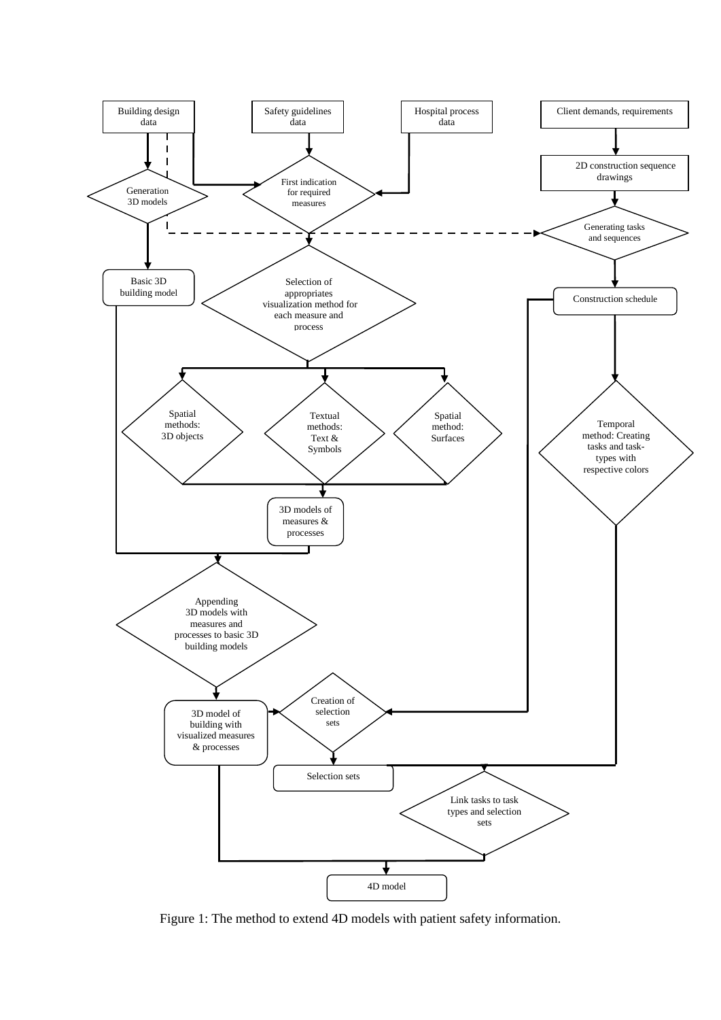

Figure 1: The method to extend 4D models with patient safety information.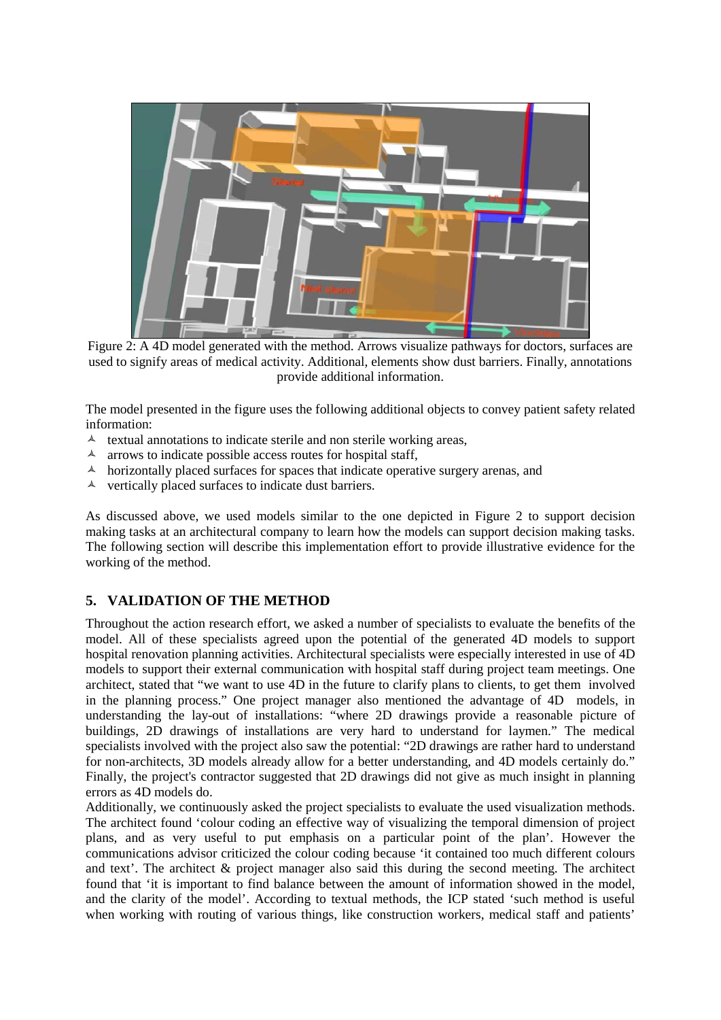

Figure 2: A 4D model generated with the method. Arrows visualize pathways for doctors, surfaces are used to signify areas of medical activity. Additional, elements show dust barriers. Finally, annotations provide additional information.

The model presented in the figure uses the following additional objects to convey patient safety related information:

- $\lambda$  textual annotations to indicate sterile and non sterile working areas,
- $\lambda$  arrows to indicate possible access routes for hospital staff,
- $\lambda$  horizontally placed surfaces for spaces that indicate operative surgery arenas, and
- $\lambda$  vertically placed surfaces to indicate dust barriers.

As discussed above, we used models similar to the one depicted in Figure 2 to support decision making tasks at an architectural company to learn how the models can support decision making tasks. The following section will describe this implementation effort to provide illustrative evidence for the working of the method.

## **5. VALIDATION OF THE METHOD**

Throughout the action research effort, we asked a number of specialists to evaluate the benefits of the model. All of these specialists agreed upon the potential of the generated 4D models to support hospital renovation planning activities. Architectural specialists were especially interested in use of 4D models to support their external communication with hospital staff during project team meetings. One architect, stated that "we want to use 4D in the future to clarify plans to clients, to get them involved in the planning process." One project manager also mentioned the advantage of 4D models, in understanding the lay-out of installations: "where 2D drawings provide a reasonable picture of buildings, 2D drawings of installations are very hard to understand for laymen." The medical specialists involved with the project also saw the potential: "2D drawings are rather hard to understand for non-architects, 3D models already allow for a better understanding, and 4D models certainly do." Finally, the project's contractor suggested that 2D drawings did not give as much insight in planning errors as 4D models do.

Additionally, we continuously asked the project specialists to evaluate the used visualization methods. The architect found 'colour coding an effective way of visualizing the temporal dimension of project plans, and as very useful to put emphasis on a particular point of the plan'. However the communications advisor criticized the colour coding because 'it contained too much different colours and text'. The architect & project manager also said this during the second meeting. The architect found that 'it is important to find balance between the amount of information showed in the model, and the clarity of the model'. According to textual methods, the ICP stated 'such method is useful when working with routing of various things, like construction workers, medical staff and patients'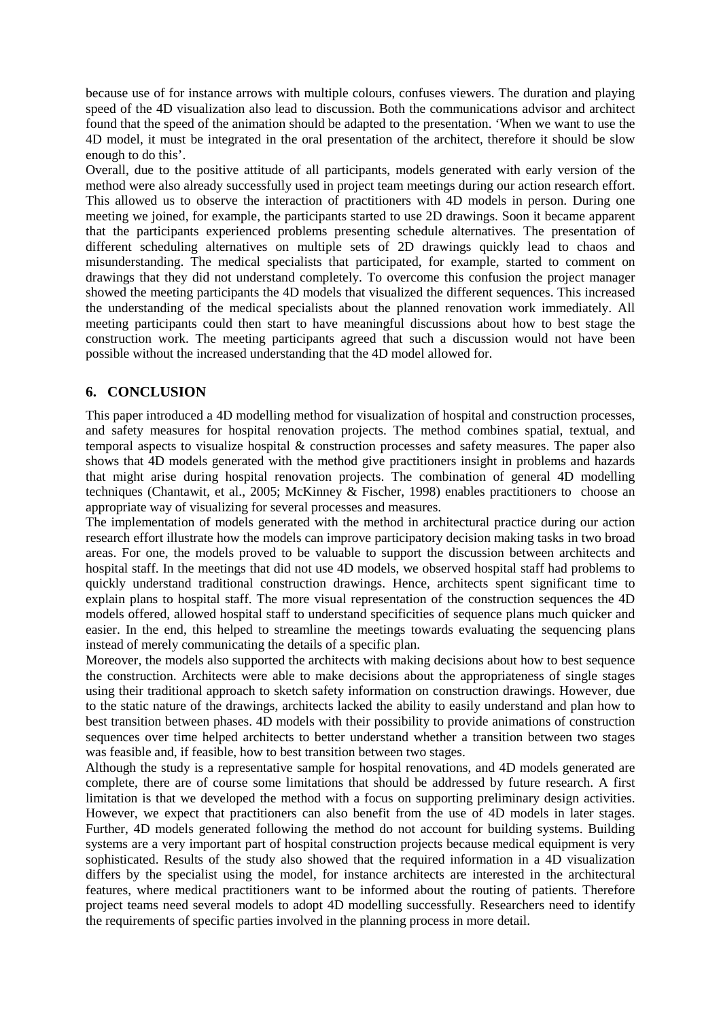because use of for instance arrows with multiple colours, confuses viewers. The duration and playing speed of the 4D visualization also lead to discussion. Both the communications advisor and architect found that the speed of the animation should be adapted to the presentation. 'When we want to use the 4D model, it must be integrated in the oral presentation of the architect, therefore it should be slow enough to do this'.

Overall, due to the positive attitude of all participants, models generated with early version of the method were also already successfully used in project team meetings during our action research effort. This allowed us to observe the interaction of practitioners with 4D models in person. During one meeting we joined, for example, the participants started to use 2D drawings. Soon it became apparent that the participants experienced problems presenting schedule alternatives. The presentation of different scheduling alternatives on multiple sets of 2D drawings quickly lead to chaos and misunderstanding. The medical specialists that participated, for example, started to comment on drawings that they did not understand completely. To overcome this confusion the project manager showed the meeting participants the 4D models that visualized the different sequences. This increased the understanding of the medical specialists about the planned renovation work immediately. All meeting participants could then start to have meaningful discussions about how to best stage the construction work. The meeting participants agreed that such a discussion would not have been possible without the increased understanding that the 4D model allowed for.

## **6. CONCLUSION**

This paper introduced a 4D modelling method for visualization of hospital and construction processes, and safety measures for hospital renovation projects. The method combines spatial, textual, and temporal aspects to visualize hospital  $\&$  construction processes and safety measures. The paper also shows that 4D models generated with the method give practitioners insight in problems and hazards that might arise during hospital renovation projects. The combination of general 4D modelling techniques (Chantawit, et al., 2005; McKinney & Fischer, 1998) enables practitioners to choose an appropriate way of visualizing for several processes and measures.

The implementation of models generated with the method in architectural practice during our action research effort illustrate how the models can improve participatory decision making tasks in two broad areas. For one, the models proved to be valuable to support the discussion between architects and hospital staff. In the meetings that did not use 4D models, we observed hospital staff had problems to quickly understand traditional construction drawings. Hence, architects spent significant time to explain plans to hospital staff. The more visual representation of the construction sequences the 4D models offered, allowed hospital staff to understand specificities of sequence plans much quicker and easier. In the end, this helped to streamline the meetings towards evaluating the sequencing plans instead of merely communicating the details of a specific plan.

Moreover, the models also supported the architects with making decisions about how to best sequence the construction. Architects were able to make decisions about the appropriateness of single stages using their traditional approach to sketch safety information on construction drawings. However, due to the static nature of the drawings, architects lacked the ability to easily understand and plan how to best transition between phases. 4D models with their possibility to provide animations of construction sequences over time helped architects to better understand whether a transition between two stages was feasible and, if feasible, how to best transition between two stages.

Although the study is a representative sample for hospital renovations, and 4D models generated are complete, there are of course some limitations that should be addressed by future research. A first limitation is that we developed the method with a focus on supporting preliminary design activities. However, we expect that practitioners can also benefit from the use of 4D models in later stages. Further, 4D models generated following the method do not account for building systems. Building systems are a very important part of hospital construction projects because medical equipment is very sophisticated. Results of the study also showed that the required information in a 4D visualization differs by the specialist using the model, for instance architects are interested in the architectural features, where medical practitioners want to be informed about the routing of patients. Therefore project teams need several models to adopt 4D modelling successfully. Researchers need to identify the requirements of specific parties involved in the planning process in more detail.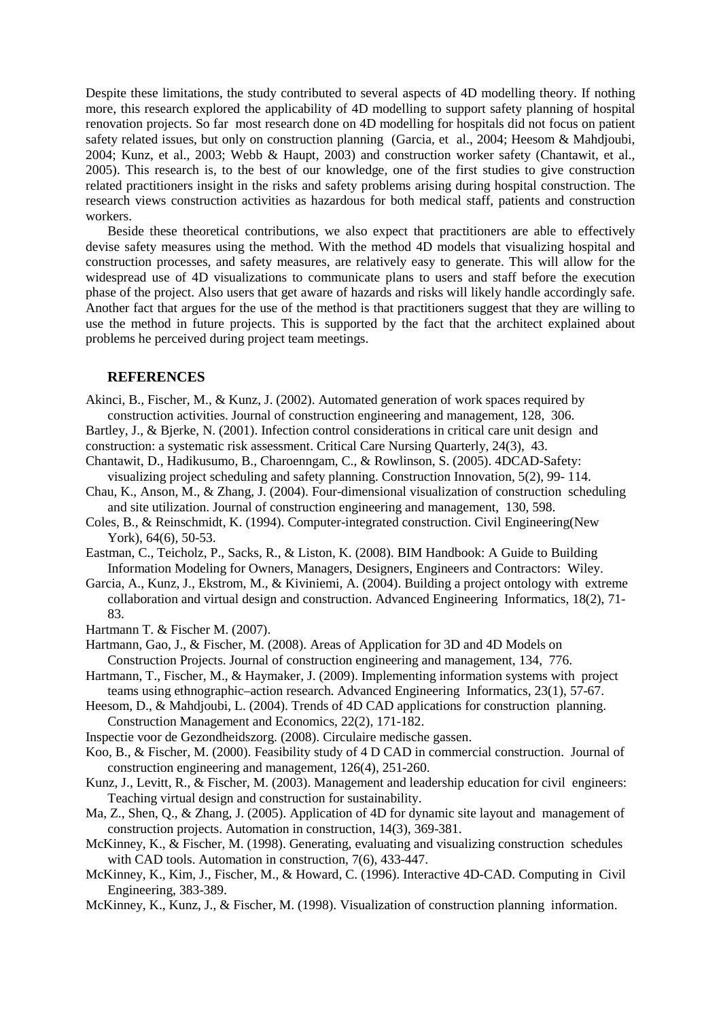Despite these limitations, the study contributed to several aspects of 4D modelling theory. If nothing more, this research explored the applicability of 4D modelling to support safety planning of hospital renovation projects. So far most research done on 4D modelling for hospitals did not focus on patient safety related issues, but only on construction planning (Garcia, et al., 2004; Heesom & Mahdjoubi, 2004; Kunz, et al., 2003; Webb & Haupt, 2003) and construction worker safety (Chantawit, et al., 2005). This research is, to the best of our knowledge, one of the first studies to give construction related practitioners insight in the risks and safety problems arising during hospital construction. The research views construction activities as hazardous for both medical staff, patients and construction workers.

Beside these theoretical contributions, we also expect that practitioners are able to effectively devise safety measures using the method. With the method 4D models that visualizing hospital and construction processes, and safety measures, are relatively easy to generate. This will allow for the widespread use of 4D visualizations to communicate plans to users and staff before the execution phase of the project. Also users that get aware of hazards and risks will likely handle accordingly safe. Another fact that argues for the use of the method is that practitioners suggest that they are willing to use the method in future projects. This is supported by the fact that the architect explained about problems he perceived during project team meetings.

#### **REFERENCES**

- Akinci, B., Fischer, M., & Kunz, J. (2002). Automated generation of work spaces required by construction activities. Journal of construction engineering and management, 128, 306.
- Bartley, J., & Bjerke, N. (2001). Infection control considerations in critical care unit design and construction: a systematic risk assessment. Critical Care Nursing Quarterly, 24(3), 43.
- Chantawit, D., Hadikusumo, B., Charoenngam, C., & Rowlinson, S. (2005). 4DCAD-Safety: visualizing project scheduling and safety planning. Construction Innovation, 5(2), 99- 114.
- Chau, K., Anson, M., & Zhang, J. (2004). Four-dimensional visualization of construction scheduling and site utilization. Journal of construction engineering and management, 130, 598.
- Coles, B., & Reinschmidt, K. (1994). Computer-integrated construction. Civil Engineering(New York), 64(6), 50-53.
- Eastman, C., Teicholz, P., Sacks, R., & Liston, K. (2008). BIM Handbook: A Guide to Building Information Modeling for Owners, Managers, Designers, Engineers and Contractors: Wiley.
- Garcia, A., Kunz, J., Ekstrom, M., & Kiviniemi, A. (2004). Building a project ontology with extreme collaboration and virtual design and construction. Advanced Engineering Informatics, 18(2), 71- 83.

Hartmann T. & Fischer M. (2007).

- Hartmann, Gao, J., & Fischer, M. (2008). Areas of Application for 3D and 4D Models on Construction Projects. Journal of construction engineering and management, 134, 776.
- Hartmann, T., Fischer, M., & Haymaker, J. (2009). Implementing information systems with project teams using ethnographic–action research. Advanced Engineering Informatics, 23(1), 57-67.
- Heesom, D., & Mahdjoubi, L. (2004). Trends of 4D CAD applications for construction planning. Construction Management and Economics, 22(2), 171-182.
- Inspectie voor de Gezondheidszorg. (2008). Circulaire medische gassen.
- Koo, B., & Fischer, M. (2000). Feasibility study of 4 D CAD in commercial construction. Journal of construction engineering and management, 126(4), 251-260.
- Kunz, J., Levitt, R., & Fischer, M. (2003). Management and leadership education for civil engineers: Teaching virtual design and construction for sustainability.
- Ma, Z., Shen, Q., & Zhang, J. (2005). Application of 4D for dynamic site layout and management of construction projects. Automation in construction, 14(3), 369-381.
- McKinney, K., & Fischer, M. (1998). Generating, evaluating and visualizing construction schedules with CAD tools. Automation in construction, 7(6), 433-447.
- McKinney, K., Kim, J., Fischer, M., & Howard, C. (1996). Interactive 4D-CAD. Computing in Civil Engineering, 383-389.
- McKinney, K., Kunz, J., & Fischer, M. (1998). Visualization of construction planning information.